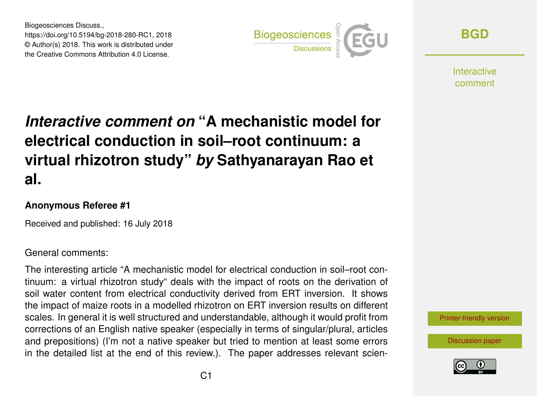Biogeosciences Discuss., https://doi.org/10.5194/bg-2018-280-RC1, 2018 © Author(s) 2018. This work is distributed under the Creative Commons Attribution 4.0 License.



**[BGD](https://www.biogeosciences-discuss.net/)**

**Interactive** comment

# *Interactive comment on* **"A mechanistic model for electrical conduction in soil–root continuum: a virtual rhizotron study"** *by* **Sathyanarayan Rao et al.**

#### **Anonymous Referee #1**

Received and published: 16 July 2018

#### General comments:

The interesting article "A mechanistic model for electrical conduction in soil–root continuum: a virtual rhizotron study" deals with the impact of roots on the derivation of soil water content from electrical conductivity derived from ERT inversion. It shows the impact of maize roots in a modelled rhizotron on ERT inversion results on different scales. In general it is well structured and understandable, although it would profit from corrections of an English native speaker (especially in terms of singular/plural, articles and prepositions) (I'm not a native speaker but tried to mention at least some errors in the detailed list at the end of this review.). The paper addresses relevant scien-



[Discussion paper](https://www.biogeosciences-discuss.net/bg-2018-280)

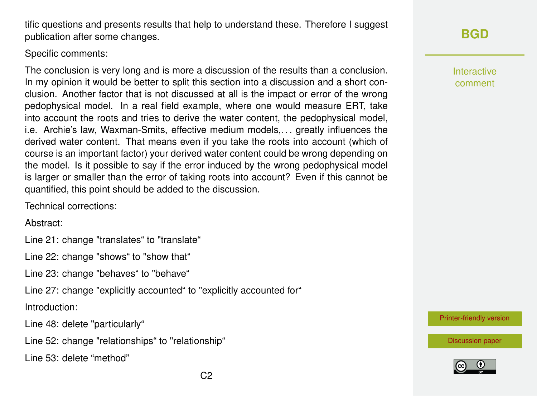$C<sub>2</sub>$ 

tific questions and presents results that help to understand these. Therefore I suggest publication after some changes.

Specific comments:

The conclusion is very long and is more a discussion of the results than a conclusion. In my opinion it would be better to split this section into a discussion and a short conclusion. Another factor that is not discussed at all is the impact or error of the wrong pedophysical model. In a real field example, where one would measure ERT, take into account the roots and tries to derive the water content, the pedophysical model, i.e. Archie's law, Waxman-Smits, effective medium models,. . . greatly influences the derived water content. That means even if you take the roots into account (which of course is an important factor) your derived water content could be wrong depending on the model. Is it possible to say if the error induced by the wrong pedophysical model is larger or smaller than the error of taking roots into account? Even if this cannot be quantified, this point should be added to the discussion.

Technical corrections:

Abstract:

Line 21: change "translates" to "translate"

Line 22: change "shows" to "show that"

Line 23: change "behaves" to "behave"

Line 27: change "explicitly accounted" to "explicitly accounted for"

Introduction:

Line 48: delete "particularly"

Line 52: change "relationships" to "relationship"

Line 53: delete "method"

### **[BGD](https://www.biogeosciences-discuss.net/)**

Interactive comment

[Printer-friendly version](https://www.biogeosciences-discuss.net/bg-2018-280/bg-2018-280-RC1-print.pdf)

[Discussion paper](https://www.biogeosciences-discuss.net/bg-2018-280)

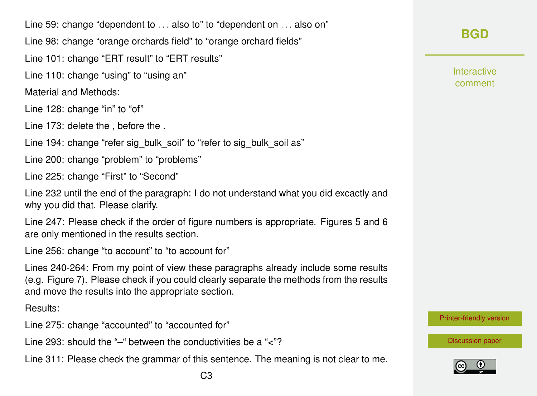Line 59: change "dependent to ... also to" to "dependent on ... also on" Line 98: change "orange orchards field" to "orange orchard fields"

Line 101: change "ERT result" to "ERT results"

Line 110: change "using" to "using an"

Material and Methods:

Line 128: change "in" to "of"

Line 173: delete the , before the .

Line 194: change "refer sig\_bulk\_soil" to "refer to sig\_bulk\_soil as"

Line 200: change "problem" to "problems"

Line 225: change "First" to "Second"

Line 232 until the end of the paragraph: I do not understand what you did excactly and why you did that. Please clarify.

Line 247: Please check if the order of figure numbers is appropriate. Figures 5 and 6 are only mentioned in the results section.

Line 256: change "to account" to "to account for"

Lines 240-264: From my point of view these paragraphs already include some results (e.g. Figure 7). Please check if you could clearly separate the methods from the results and move the results into the appropriate section.

Results:

Line 275: change "accounted" to "accounted for"

Line 293: should the "–" between the conductivities be a "<"?

Line 311: Please check the grammar of this sentence. The meaning is not clear to me.

**Interactive** comment

[Printer-friendly version](https://www.biogeosciences-discuss.net/bg-2018-280/bg-2018-280-RC1-print.pdf)

[Discussion paper](https://www.biogeosciences-discuss.net/bg-2018-280)